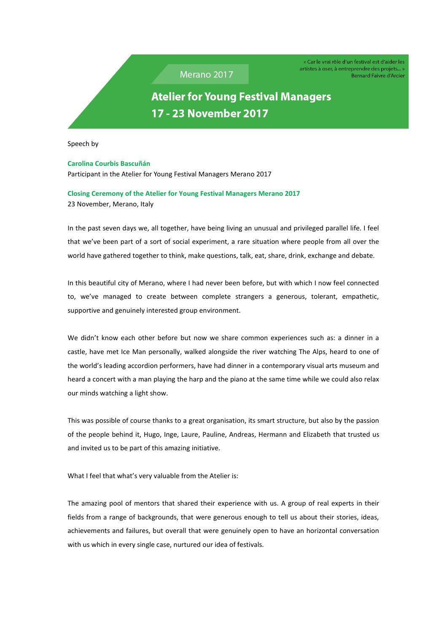Merano 2017

« Car le vrai rôle d'un festival est d'aider les artistes à oser, à entreprendre des projets... » **Bernard Faivre d'Arcier** 

**Atelier for Young Festival Managers** 17 - 23 November 2017

Speech by

## **Carolina Courbis Bascuñán**

Participant in the Atelier for Young Festival Managers Merano 2017

## **Closing Ceremony of the Atelier for Young Festival Managers Merano 2017** 23 November, Merano, Italy

In the past seven days we, all together, have being living an unusual and privileged parallel life. I feel that we've been part of a sort of social experiment, a rare situation where people from all over the world have gathered together to think, make questions, talk, eat, share, drink, exchange and debate.

In this beautiful city of Merano, where I had never been before, but with which I now feel connected to, we've managed to create between complete strangers a generous, tolerant, empathetic, supportive and genuinely interested group environment.

We didn't know each other before but now we share common experiences such as: a dinner in a castle, have met Ice Man personally, walked alongside the river watching The Alps, heard to one of the world's leading accordion performers, have had dinner in a contemporary visual arts museum and heard a concert with a man playing the harp and the piano at the same time while we could also relax our minds watching a light show.

This was possible of course thanks to a great organisation, its smart structure, but also by the passion of the people behind it, Hugo, Inge, Laure, Pauline, Andreas, Hermann and Elizabeth that trusted us and invited us to be part of this amazing initiative.

What I feel that what's very valuable from the Atelier is:

The amazing pool of mentors that shared their experience with us. A group of real experts in their fields from a range of backgrounds, that were generous enough to tell us about their stories, ideas, achievements and failures, but overall that were genuinely open to have an horizontal conversation with us which in every single case, nurtured our idea of festivals.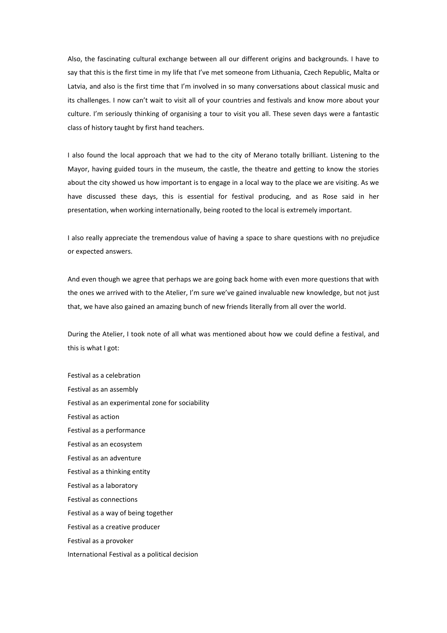Also, the fascinating cultural exchange between all our different origins and backgrounds. I have to say that this is the first time in my life that I've met someone from Lithuania, Czech Republic, Malta or Latvia, and also is the first time that I'm involved in so many conversations about classical music and its challenges. I now can't wait to visit all of your countries and festivals and know more about your culture. I'm seriously thinking of organising a tour to visit you all. These seven days were a fantastic class of history taught by first hand teachers.

I also found the local approach that we had to the city of Merano totally brilliant. Listening to the Mayor, having guided tours in the museum, the castle, the theatre and getting to know the stories about the city showed us how important is to engage in a local way to the place we are visiting. As we have discussed these days, this is essential for festival producing, and as Rose said in her presentation, when working internationally, being rooted to the local is extremely important.

I also really appreciate the tremendous value of having a space to share questions with no prejudice or expected answers.

And even though we agree that perhaps we are going back home with even more questions that with the ones we arrived with to the Atelier, I'm sure we've gained invaluable new knowledge, but not just that, we have also gained an amazing bunch of new friends literally from all over the world.

During the Atelier, I took note of all what was mentioned about how we could define a festival, and this is what I got:

Festival as a celebration Festival as an assembly Festival as an experimental zone for sociability Festival as action Festival as a performance Festival as an ecosystem Festival as an adventure Festival as a thinking entity Festival as a laboratory Festival as connections Festival as a way of being together Festival as a creative producer Festival as a provoker International Festival as a political decision